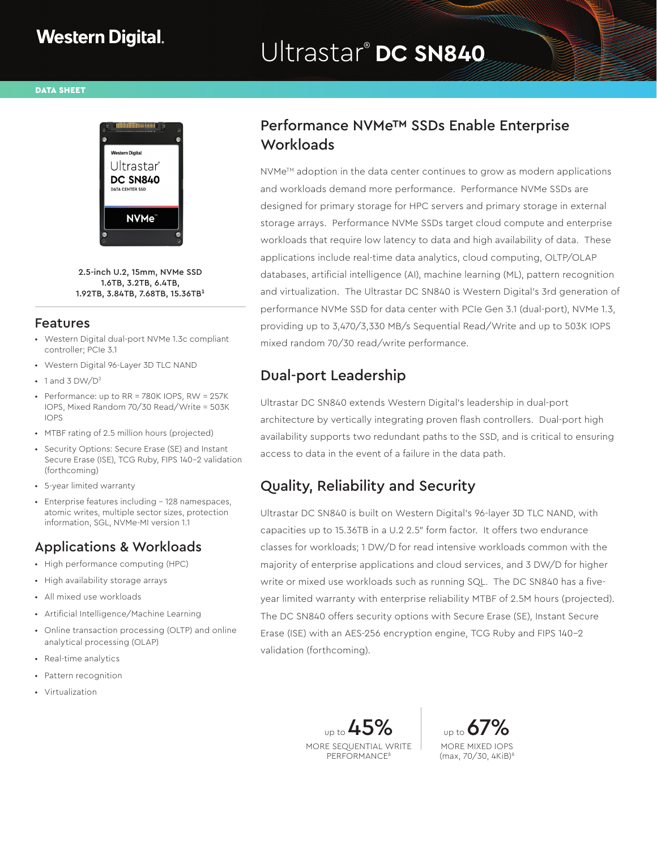# Ultrastar® **DC SN840**

DATA SHEET



2.5-inch U.2, 15mm, NVMe SSD 1.6TB, 3.2TB, 6.4TB,  $1.92$ TB, 3.84TB, 7.68TB, 15.36TB<sup>1</sup>

#### Features

- Western Digital dual-port NVMe 1.3c compliant controller; PCIe 3.1
- Western Digital 96-Layer 3D TLC NAND
- $\cdot$  1 and 3 DW/D<sup>2</sup>
- Performance: up to RR = 780K IOPS, RW = 257K IOPS, Mixed Random 70/30 Read/Write = 503K IOPS
- MTBF rating of 2.5 million hours (projected)
- Security Options: Secure Erase (SE) and Instant Secure Erase (ISE), TCG Ruby, FIPS 140-2 validation (forthcoming)
- 5-year limited warranty
- Enterprise features including 128 namespaces, atomic writes, multiple sector sizes, protection information, SGL, NVMe-MI version 1.1

#### Applications & Workloads

- High performance computing (HPC)
- High availability storage arrays
- All mixed use workloads
- Artificial Intelligence/Machine Learning
- Online transaction processing (OLTP) and online analytical processing (OLAP)
- Real-time analytics
- Pattern recognition
- Virtualization

## Performance NVMe™ SSDs Enable Enterprise **Workloads**

NVMe™ adoption in the data center continues to grow as modern applications and workloads demand more performance. Performance NVMe SSDs are designed for primary storage for HPC servers and primary storage in external storage arrays. Performance NVMe SSDs target cloud compute and enterprise workloads that require low latency to data and high availability of data. These applications include real-time data analytics, cloud computing, OLTP/OLAP databases, artificial intelligence (AI), machine learning (ML), pattern recognition and virtualization. The Ultrastar DC SN840 is Western Digital's 3rd generation of performance NVMe SSD for data center with PCIe Gen 3.1 (dual-port), NVMe 1.3, providing up to 3,470/3,330 MB/s Sequential Read/Write and up to 503K IOPS mixed random 70/30 read/write performance.

# Dual-port Leadership

Ultrastar DC SN840 extends Western Digital's leadership in dual-port architecture by vertically integrating proven flash controllers. Dual-port high availability supports two redundant paths to the SSD, and is critical to ensuring access to data in the event of a failure in the data path.

# Quality, Reliability and Security

Ultrastar DC SN840 is built on Western Digital's 96-layer 3D TLC NAND, with capacities up to 15.36TB in a U.2 2.5" form factor. It offers two endurance classes for workloads; 1 DW/D for read intensive workloads common with the majority of enterprise applications and cloud services, and 3 DW/D for higher write or mixed use workloads such as running SQL. The DC SN840 has a fiveyear limited warranty with enterprise reliability MTBF of 2.5M hours (projected). The DC SN840 offers security options with Secure Erase (SE), Instant Secure Erase (ISE) with an AES-256 encryption engine, TCG Ruby and FIPS 140-2 validation (forthcoming).

> $_{\text{up to}}$   $\Delta$  5 MORE SEQUENTIAL WRITE PERFORMANCE8

up to  $6$ MORE MIXED IOPS (max, 70/30, 4KiB)8